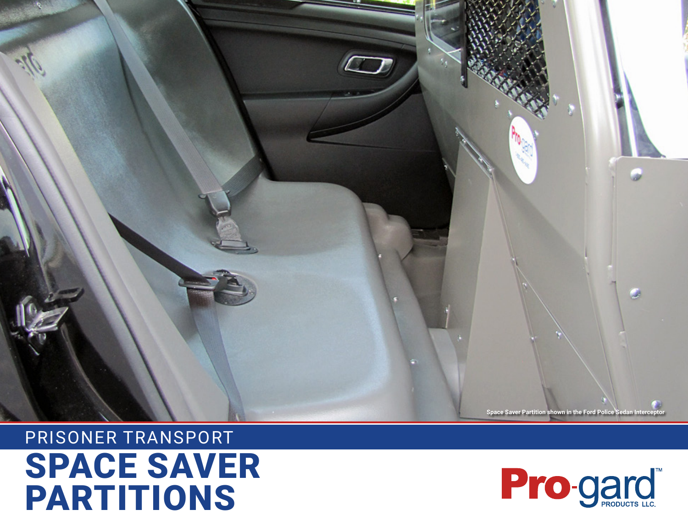# SPACE SAVER PARTITIONS PRISONER TRANSPORT